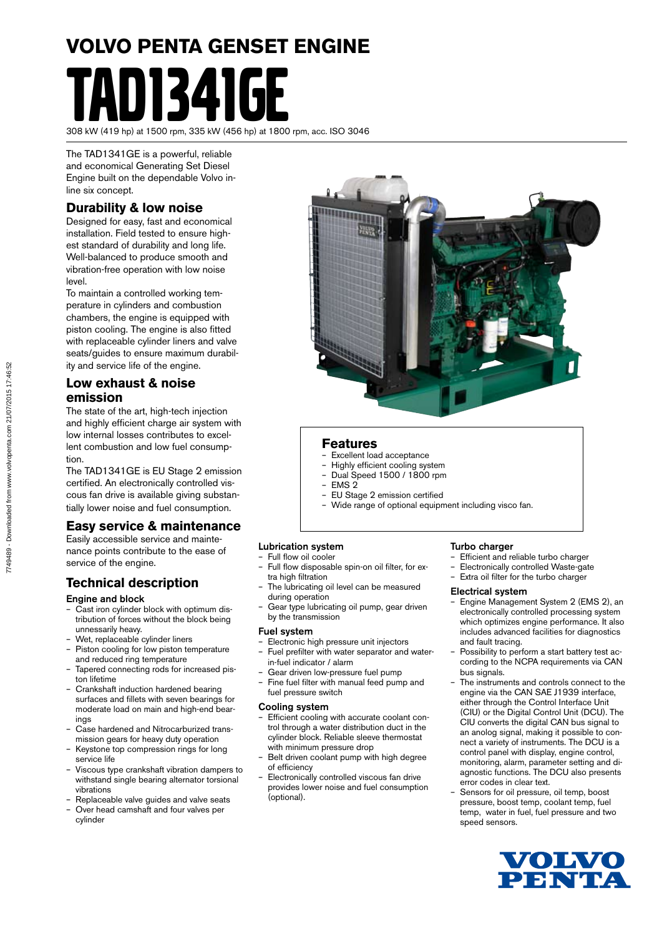# **VOLVO PENTA GENSET ENGINE N1341GF**

308 kW (419 hp) at 1500 rpm, 335 kW (456 hp) at 1800 rpm, acc. ISO 3046

The TAD1341GE is a powerful, reliable and economical Generating Set Diesel Engine built on the dependable Volvo inline six concept.

### **Durability & low noise**

Designed for easy, fast and economical installation. Field tested to ensure highest standard of durability and long life. Well-balanced to produce smooth and vibration-free operation with low noise level.

To maintain a controlled working temperature in cylinders and combustion chambers, the engine is equipped with piston cooling. The engine is also fitted with replaceable cylinder liners and valve seats/guides to ensure maximum durability and service life of the engine.

#### **Low exhaust & noise emission**

The state of the art, high-tech injection and highly efficient charge air system with low internal losses contributes to excellent combustion and low fuel consumption.

The TAD1341GE is EU Stage 2 emission certified. An electronically controlled viscous fan drive is available giving substantially lower noise and fuel consumption.

#### **Easy service & maintenance**

Easily accessible service and maintenance points contribute to the ease of service of the engine.

#### **Technical description**

#### Engine and block

- Cast iron cylinder block with optimum distribution of forces without the block being unnessarily heavy.
- Wet, replaceable cylinder liners
- Piston cooling for low piston temperature and reduced ring temperature
- Tapered connecting rods for increased piston lifetime
- Crankshaft induction hardened bearing surfaces and fillets with seven bearings for moderate load on main and high-end bearings
- Case hardened and Nitrocarburized transmission gears for heavy duty operation
- Keystone top compression rings for long service life
- Viscous type crankshaft vibration dampers to withstand single bearing alternator torsional vibrations
- Replaceable valve guides and valve seats – Over head camshaft and four valves per
- cylinder

#### **Features**

- Excellent load acceptance
- Highly efficient cooling system
- Dual Speed 1500 / 1800 rpm
- EMS 2 – EU Stage 2 emission certified
- Wide range of optional equipment including visco fan.

#### Lubrication system

#### – Full flow oil cooler

- Full flow disposable spin-on oil filter, for extra high filtration
- The lubricating oil level can be measured during operation
- Gear type lubricating oil pump, gear driven by the transmission

#### Fuel system

- Electronic high pressure unit injectors – Fuel prefilter with water separator and water
	- in-fuel indicator / alarm
- Gear driven low-pressure fuel pump
- Fine fuel filter with manual feed pump and fuel pressure switch

#### Cooling system

- Efficient cooling with accurate coolant control through a water distribution duct in the cylinder block. Reliable sleeve thermostat with minimum pressure drop
- Belt driven coolant pump with high degree of efficiency
- Electronically controlled viscous fan drive provides lower noise and fuel consumption (optional).

#### Turbo charger

- Efficient and reliable turbo charger
- Electronically controlled Waste-gate
- Extra oil filter for the turbo charger

#### Electrical system

- Engine Management System 2 (EMS 2), an electronically controlled processing system which optimizes engine performance. It also includes advanced facilities for diagnostics and fault tracing.
- Possibility to perform a start battery test according to the NCPA requirements via CAN bus signals.
- The instruments and controls connect to the engine via the CAN SAE J1939 interface, either through the Control Interface Unit (CIU) or the Digital Control Unit (DCU). The CIU converts the digital CAN bus signal to an anolog signal, making it possible to connect a variety of instruments. The DCU is a control panel with display, engine control, monitoring, alarm, parameter setting and diagnostic functions. The DCU also presents error codes in clear text.
- Sensors for oil pressure, oil temp, boost pressure, boost temp, coolant temp, fuel temp, water in fuel, fuel pressure and two speed sensors.